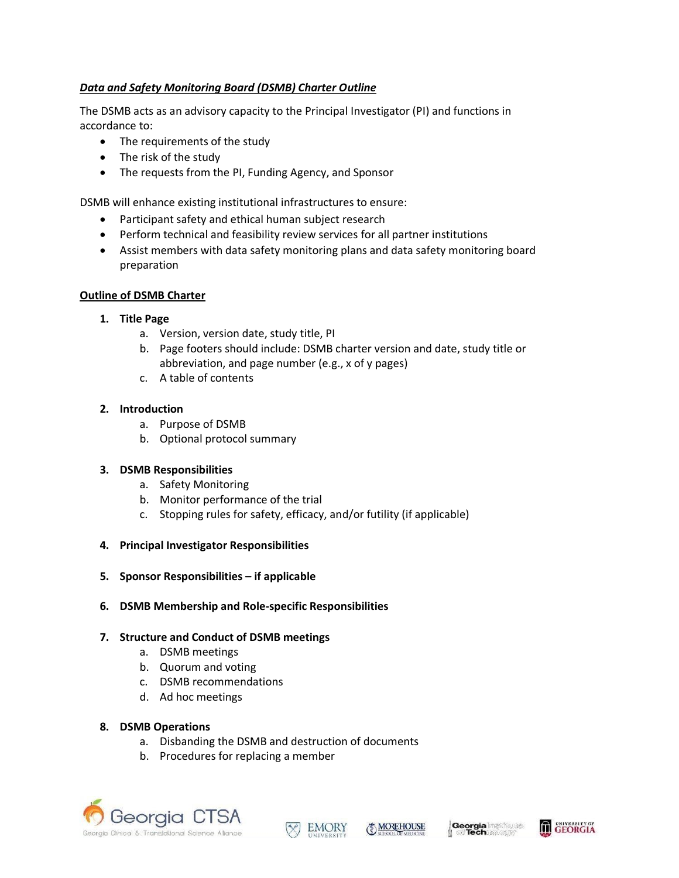# *Data and Safety Monitoring Board (DSMB) Charter Outline*

The DSMB acts as an advisory capacity to the Principal Investigator (PI) and functions in accordance to:

- The requirements of the study
- The risk of the study
- The requests from the PI, Funding Agency, and Sponsor

DSMB will enhance existing institutional infrastructures to ensure:

- Participant safety and ethical human subject research
- Perform technical and feasibility review services for all partner institutions
- Assist members with data safety monitoring plans and data safety monitoring board preparation

### **Outline of DSMB Charter**

#### **1. Title Page**

- a. Version, version date, study title, PI
- b. Page footers should include: DSMB charter version and date, study title or abbreviation, and page number (e.g., x of y pages)
- c. A table of contents

### **2. Introduction**

- a. Purpose of DSMB
- b. Optional protocol summary

### **3. DSMB Responsibilities**

- a. Safety Monitoring
- b. Monitor performance of the trial
- c. Stopping rules for safety, efficacy, and/or futility (if applicable)
- **4. Principal Investigator Responsibilities**
- **5. Sponsor Responsibilities – if applicable**
- **6. DSMB Membership and Role-specific Responsibilities**

### **7. Structure and Conduct of DSMB meetings**

- a. DSMB meetings
- b. Quorum and voting
- c. DSMB recommendations
- d. Ad hoc meetings

#### **8. DSMB Operations**

- a. Disbanding the DSMB and destruction of documents
- b. Procedures for replacing a member